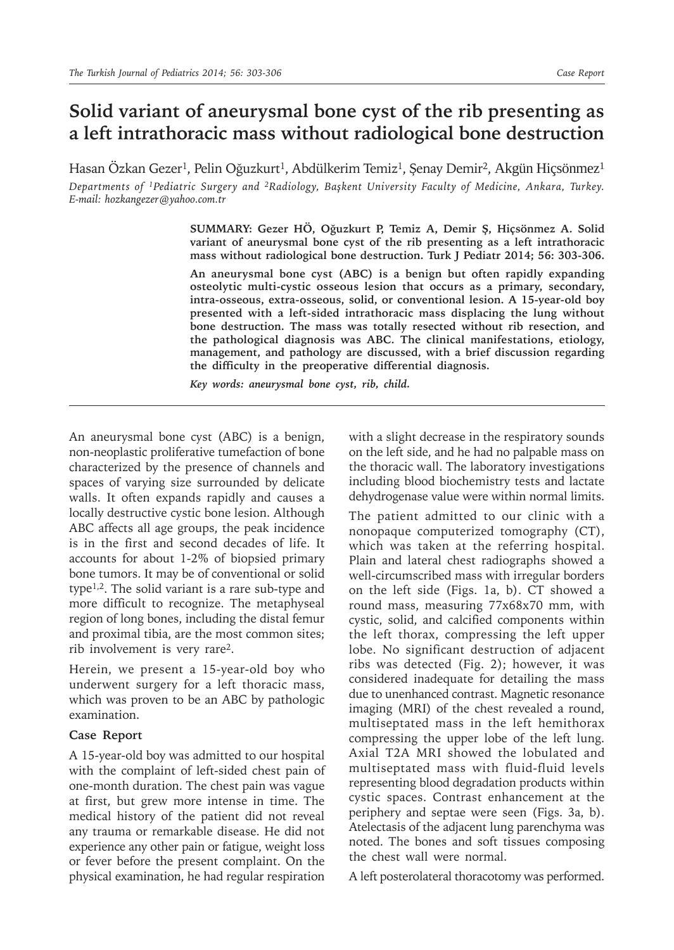# **Solid variant of aneurysmal bone cyst of the rib presenting as a left intrathoracic mass without radiological bone destruction**

Hasan Özkan Gezer<sup>1</sup>, Pelin Oğuzkurt<sup>1</sup>, Abdülkerim Temiz<sup>1</sup>, Şenay Demir<sup>2</sup>, Akgün Hiçsönmez<sup>1</sup> *Departments of 1Pediatric Surgery and 2Radiology, Başkent University Faculty of Medicine, Ankara, Turkey. E-mail: hozkangezer@yahoo.com.tr*

> **SUMMARY: Gezer HÖ, Oğuzkurt P, Temiz A, Demir Ş, Hiçsönmez A. Solid variant of aneurysmal bone cyst of the rib presenting as a left intrathoracic mass without radiological bone destruction. Turk J Pediatr 2014; 56: 303-306.**

> **An aneurysmal bone cyst (ABC) is a benign but often rapidly expanding osteolytic multi-cystic osseous lesion that occurs as a primary, secondary, intra-osseous, extra-osseous, solid, or conventional lesion. A 15-year-old boy presented with a left-sided intrathoracic mass displacing the lung without bone destruction. The mass was totally resected without rib resection, and the pathological diagnosis was ABC. The clinical manifestations, etiology, management, and pathology are discussed, with a brief discussion regarding the difficulty in the preoperative differential diagnosis.**

*Key words: aneurysmal bone cyst, rib, child.*

An aneurysmal bone cyst (ABC) is a benign, non-neoplastic proliferative tumefaction of bone characterized by the presence of channels and spaces of varying size surrounded by delicate walls. It often expands rapidly and causes a locally destructive cystic bone lesion. Although ABC affects all age groups, the peak incidence is in the first and second decades of life. It accounts for about 1-2% of biopsied primary bone tumors. It may be of conventional or solid type1,2. The solid variant is a rare sub-type and more difficult to recognize. The metaphyseal region of long bones, including the distal femur and proximal tibia, are the most common sites; rib involvement is very rare<sup>2</sup>.

Herein, we present a 15-year-old boy who underwent surgery for a left thoracic mass, which was proven to be an ABC by pathologic examination.

# **Case Report**

A 15-year-old boy was admitted to our hospital with the complaint of left-sided chest pain of one-month duration. The chest pain was vague at first, but grew more intense in time. The medical history of the patient did not reveal any trauma or remarkable disease. He did not experience any other pain or fatigue, weight loss or fever before the present complaint. On the physical examination, he had regular respiration

with a slight decrease in the respiratory sounds on the left side, and he had no palpable mass on the thoracic wall. The laboratory investigations including blood biochemistry tests and lactate dehydrogenase value were within normal limits.

The patient admitted to our clinic with a nonopaque computerized tomography (CT), which was taken at the referring hospital. Plain and lateral chest radiographs showed a well-circumscribed mass with irregular borders on the left side (Figs. 1a, b). CT showed a round mass, measuring 77x68x70 mm, with cystic, solid, and calcified components within the left thorax, compressing the left upper lobe. No significant destruction of adjacent ribs was detected (Fig. 2); however, it was considered inadequate for detailing the mass due to unenhanced contrast. Magnetic resonance imaging (MRI) of the chest revealed a round, multiseptated mass in the left hemithorax compressing the upper lobe of the left lung. Axial T2A MRI showed the lobulated and multiseptated mass with fluid-fluid levels representing blood degradation products within cystic spaces. Contrast enhancement at the periphery and septae were seen (Figs. 3a, b). Atelectasis of the adjacent lung parenchyma was noted. The bones and soft tissues composing the chest wall were normal.

A left posterolateral thoracotomy was performed.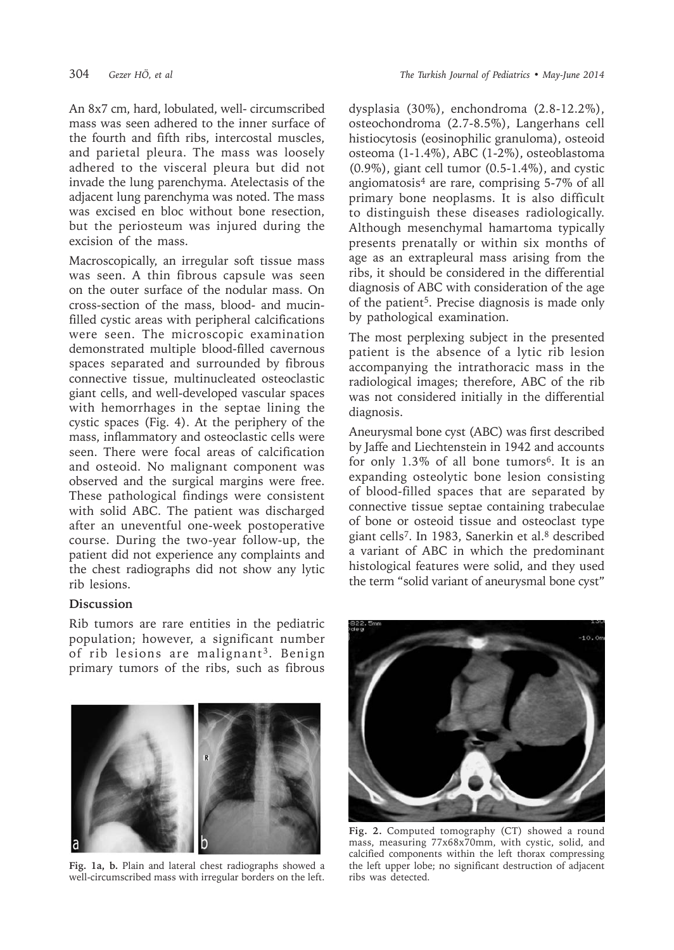An 8x7 cm, hard, lobulated, well- circumscribed mass was seen adhered to the inner surface of the fourth and fifth ribs, intercostal muscles, and parietal pleura. The mass was loosely adhered to the visceral pleura but did not invade the lung parenchyma. Atelectasis of the adjacent lung parenchyma was noted. The mass was excised en bloc without bone resection, but the periosteum was injured during the excision of the mass.

Macroscopically, an irregular soft tissue mass was seen. A thin fibrous capsule was seen on the outer surface of the nodular mass. On cross-section of the mass, blood- and mucinfilled cystic areas with peripheral calcifications were seen. The microscopic examination demonstrated multiple blood-filled cavernous spaces separated and surrounded by fibrous connective tissue, multinucleated osteoclastic giant cells, and well-developed vascular spaces with hemorrhages in the septae lining the cystic spaces (Fig. 4). At the periphery of the mass, inflammatory and osteoclastic cells were seen. There were focal areas of calcification and osteoid. No malignant component was observed and the surgical margins were free. These pathological findings were consistent with solid ABC. The patient was discharged after an uneventful one-week postoperative course. During the two-year follow-up, the patient did not experience any complaints and the chest radiographs did not show any lytic rib lesions.

## **Discussion**

Rib tumors are rare entities in the pediatric population; however, a significant number of rib lesions are malignant<sup>3</sup>. Benign primary tumors of the ribs, such as fibrous



**Fig. 1a, b.** Plain and lateral chest radiographs showed a well-circumscribed mass with irregular borders on the left.

dysplasia (30%), enchondroma (2.8-12.2%), osteochondroma (2.7-8.5%), Langerhans cell histiocytosis (eosinophilic granuloma), osteoid osteoma (1-1.4%), ABC (1-2%), osteoblastoma (0.9%), giant cell tumor (0.5-1.4%), and cystic angiomatosis<sup>4</sup> are rare, comprising 5-7% of all primary bone neoplasms. It is also difficult to distinguish these diseases radiologically. Although mesenchymal hamartoma typically presents prenatally or within six months of age as an extrapleural mass arising from the ribs, it should be considered in the differential diagnosis of ABC with consideration of the age of the patient<sup>5</sup>. Precise diagnosis is made only by pathological examination.

The most perplexing subject in the presented patient is the absence of a lytic rib lesion accompanying the intrathoracic mass in the radiological images; therefore, ABC of the rib was not considered initially in the differential diagnosis.

Aneurysmal bone cyst (ABC) was first described by Jaffe and Liechtenstein in 1942 and accounts for only  $1.3\%$  of all bone tumors<sup>6</sup>. It is an expanding osteolytic bone lesion consisting of blood-filled spaces that are separated by connective tissue septae containing trabeculae of bone or osteoid tissue and osteoclast type giant cells7. In 1983, Sanerkin et al.8 described a variant of ABC in which the predominant histological features were solid, and they used the term "solid variant of aneurysmal bone cyst"



**Fig. 2.** Computed tomography (CT) showed a round mass, measuring 77x68x70mm, with cystic, solid, and calcified components within the left thorax compressing the left upper lobe; no significant destruction of adjacent ribs was detected.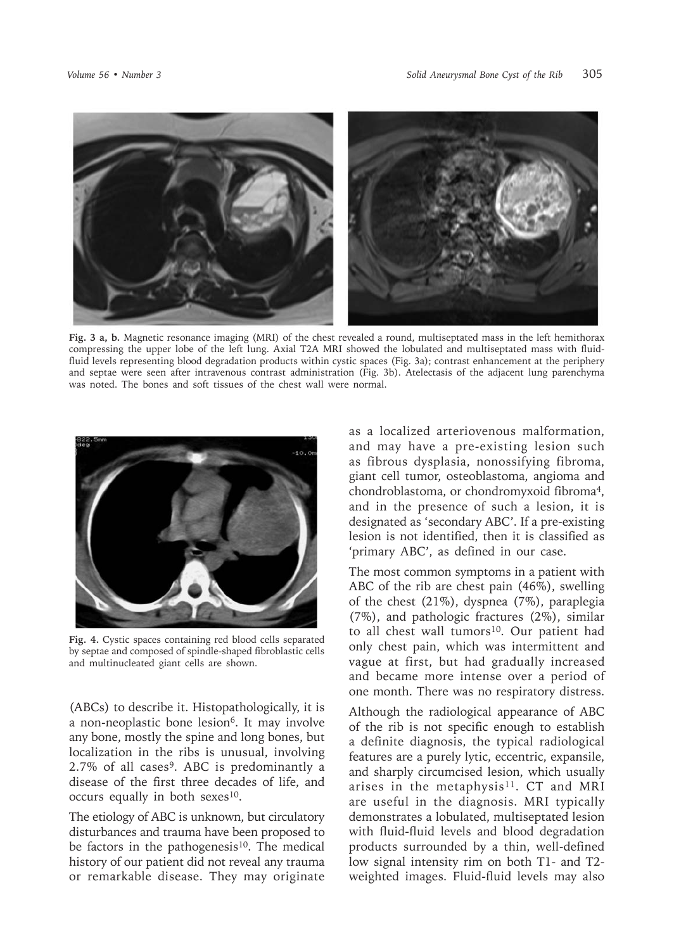

**Fig. 3 a, b.** Magnetic resonance imaging (MRI) of the chest revealed a round, multiseptated mass in the left hemithorax compressing the upper lobe of the left lung. Axial T2A MRI showed the lobulated and multiseptated mass with fluidfluid levels representing blood degradation products within cystic spaces (Fig. 3a); contrast enhancement at the periphery and septae were seen after intravenous contrast administration (Fig. 3b). Atelectasis of the adjacent lung parenchyma was noted. The bones and soft tissues of the chest wall were normal.



**Fig. 4.** Cystic spaces containing red blood cells separated by septae and composed of spindle-shaped fibroblastic cells and multinucleated giant cells are shown.

(ABCs) to describe it. Histopathologically, it is a non-neoplastic bone lesion<sup>6</sup>. It may involve any bone, mostly the spine and long bones, but localization in the ribs is unusual, involving 2.7% of all cases<sup>9</sup>. ABC is predominantly a disease of the first three decades of life, and occurs equally in both sexes<sup>10</sup>.

The etiology of ABC is unknown, but circulatory disturbances and trauma have been proposed to be factors in the pathogenesis<sup>10</sup>. The medical history of our patient did not reveal any trauma or remarkable disease. They may originate

as a localized arteriovenous malformation, and may have a pre-existing lesion such as fibrous dysplasia, nonossifying fibroma, giant cell tumor, osteoblastoma, angioma and chondroblastoma, or chondromyxoid fibroma4, and in the presence of such a lesion, it is designated as 'secondary ABC'. If a pre-existing lesion is not identified, then it is classified as 'primary ABC', as defined in our case.

The most common symptoms in a patient with ABC of the rib are chest pain (46%), swelling of the chest (21%), dyspnea (7%), paraplegia (7%), and pathologic fractures (2%), similar to all chest wall tumors<sup>10</sup>. Our patient had only chest pain, which was intermittent and vague at first, but had gradually increased and became more intense over a period of one month. There was no respiratory distress.

Although the radiological appearance of ABC of the rib is not specific enough to establish a definite diagnosis, the typical radiological features are a purely lytic, eccentric, expansile, and sharply circumcised lesion, which usually arises in the metaphysis<sup>11</sup>. CT and MRI are useful in the diagnosis. MRI typically demonstrates a lobulated, multiseptated lesion with fluid-fluid levels and blood degradation products surrounded by a thin, well-defined low signal intensity rim on both T1- and T2 weighted images. Fluid-fluid levels may also